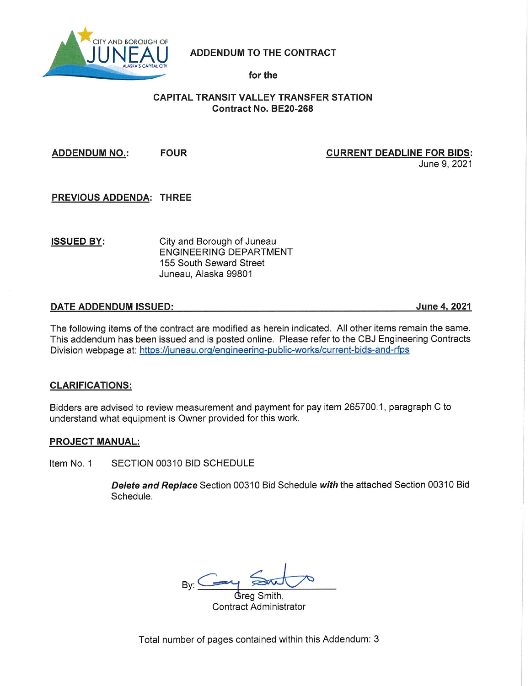

**ADDENDUM TO THE CONTRACT** 

## for the

# **CAPITAL TRANSIT VALLEY TRANSFER STATION Contract No. BE20-268**

**FOUR ADDENDUM NO.:** 

## **CURRENT DEADLINE FOR BIDS:**

June 9, 2021

**PREVIOUS ADDENDA: THREE** 

**ISSUED BY:** 

City and Borough of Juneau **ENGINEERING DEPARTMENT** 155 South Seward Street Juneau, Alaska 99801

## **DATE ADDENDUM ISSUED:**

June 4, 2021

The following items of the contract are modified as herein indicated. All other items remain the same. This addendum has been issued and is posted online. Please refer to the CBJ Engineering Contracts Division webpage at: https://juneau.org/engineering-public-works/current-bids-and-rfps

# **CLARIFICATIONS:**

Bidders are advised to review measurement and payment for pay item 265700.1, paragraph C to understand what equipment is Owner provided for this work.

### **PROJECT MANUAL:**

Item No. 1 SECTION 00310 BID SCHEDULE

> Delete and Replace Section 00310 Bid Schedule with the attached Section 00310 Bid Schedule.

**\$**rea Smith. **Contract Administrator** 

Total number of pages contained within this Addendum: 3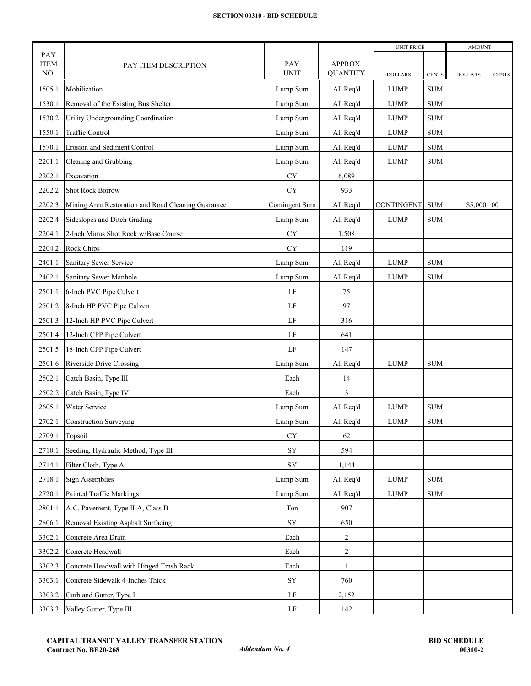#### **SECTION 00310 - BID SCHEDULE**

|                    |                                                     |                    |                 | <b>UNIT PRICE</b> |              | <b>AMOUNT</b>  |              |
|--------------------|-----------------------------------------------------|--------------------|-----------------|-------------------|--------------|----------------|--------------|
| PAY                |                                                     |                    | APPROX.         |                   |              |                |              |
| <b>ITEM</b><br>NO. | PAY ITEM DESCRIPTION                                | PAY<br><b>UNIT</b> | <b>QUANTITY</b> | <b>DOLLARS</b>    | <b>CENTS</b> | <b>DOLLARS</b> | <b>CENTS</b> |
| 1505.1             | Mobilization                                        | Lump Sum           | All Req'd       | <b>LUMP</b>       | <b>SUM</b>   |                |              |
| 1530.1             | Removal of the Existing Bus Shelter                 |                    | All Req'd       | <b>LUMP</b>       | <b>SUM</b>   |                |              |
|                    |                                                     | Lump Sum           |                 |                   |              |                |              |
| 1530.2             | Utility Undergrounding Coordination                 | Lump Sum           | All Req'd       | <b>LUMP</b>       | <b>SUM</b>   |                |              |
| 1550.1             | Traffic Control                                     | Lump Sum           | All Req'd       | <b>LUMP</b>       | <b>SUM</b>   |                |              |
| 1570.1             | Erosion and Sediment Control                        | Lump Sum           | All Req'd       | <b>LUMP</b>       | <b>SUM</b>   |                |              |
| 2201.1             | Clearing and Grubbing                               | Lump Sum           | All Req'd       | <b>LUMP</b>       | <b>SUM</b>   |                |              |
| 2202.1             | Excavation                                          | <b>CY</b>          | 6,089           |                   |              |                |              |
| 2202.2             | <b>Shot Rock Borrow</b>                             | <b>CY</b>          | 933             |                   |              |                |              |
| 2202.3             | Mining Area Restoration and Road Cleaning Guarantee | Contingent Sum     | All Req'd       | <b>CONTINGENT</b> | <b>SUM</b>   | \$5,000 00     |              |
| 2202.4             | Sideslopes and Ditch Grading                        | Lump Sum           | All Req'd       | LUMP              | <b>SUM</b>   |                |              |
| 2204.1             | 2-Inch Minus Shot Rock w/Base Course                | ${\rm CY}$         | 1,508           |                   |              |                |              |
| 2204.2             | Rock Chips                                          | ${\rm CY}$         | 119             |                   |              |                |              |
| 2401.1             | Sanitary Sewer Service                              | Lump Sum           | All Req'd       | <b>LUMP</b>       | <b>SUM</b>   |                |              |
| 2402.1             | Sanitary Sewer Manhole                              | Lump Sum           | All Req'd       | <b>LUMP</b>       | <b>SUM</b>   |                |              |
| 2501.1             | 6-Inch PVC Pipe Culvert                             | LF                 | 75              |                   |              |                |              |
| 2501.2             | 8-Inch HP PVC Pipe Culvert                          | LF                 | 97              |                   |              |                |              |
| 2501.3             | 12-Inch HP PVC Pipe Culvert                         | LF                 | 316             |                   |              |                |              |
| 2501.4             | 12-Inch CPP Pipe Culvert                            | LF                 | 641             |                   |              |                |              |
| 2501.5             | 18-Inch CPP Pipe Culvert                            | LF                 | 147             |                   |              |                |              |
| 2501.6             | Riverside Drive Crossing                            | Lump Sum           | All Req'd       | LUMP              | <b>SUM</b>   |                |              |
| 2502.1             | Catch Basin, Type III                               | Each               | 14              |                   |              |                |              |
| 2502.2             | Catch Basin, Type IV                                | Each               | 3               |                   |              |                |              |
| 2605.1             | Water Service                                       | Lump Sum           | All Req'd       | <b>LUMP</b>       | <b>SUM</b>   |                |              |
| 2702.1             | <b>Construction Surveying</b>                       | Lump Sum           | All Req'd       | <b>LUMP</b>       | <b>SUM</b>   |                |              |
| 2709.1             | Topsoil                                             | ${\rm CY}$         | 62              |                   |              |                |              |
| 2710.1             | Seeding, Hydraulic Method, Type III                 | ${\rm SY}$         | 594             |                   |              |                |              |
| 2714.1             | Filter Cloth, Type A                                | ${\rm SY}$         | 1,144           |                   |              |                |              |
| 2718.1             | Sign Assemblies                                     | Lump Sum           | All Req'd       | LUMP              | <b>SUM</b>   |                |              |
| 2720.1             | Painted Traffic Markings                            |                    |                 | <b>LUMP</b>       | <b>SUM</b>   |                |              |
|                    |                                                     | Lump Sum           | All Req'd       |                   |              |                |              |
| 2801.1             | A.C. Pavement, Type II-A, Class B                   | Ton                | 907             |                   |              |                |              |
| 2806.1             | Removal Existing Asphalt Surfacing                  | ${\rm SY}$         | 650             |                   |              |                |              |
| 3302.1             | Concrete Area Drain                                 | Each               | $\overline{c}$  |                   |              |                |              |
| 3302.2             | Concrete Headwall                                   | Each               | 2               |                   |              |                |              |
| 3302.3             | Concrete Headwall with Hinged Trash Rack            | Each               | $\mathbf{1}$    |                   |              |                |              |
| 3303.1             | Concrete Sidewalk 4-Inches Thick                    | ${\rm SY}$         | 760             |                   |              |                |              |
| 3303.2             | Curb and Gutter, Type I                             | LF                 | 2,152           |                   |              |                |              |
| 3303.3             | Valley Gutter, Type III                             | LF                 | 142             |                   |              |                |              |